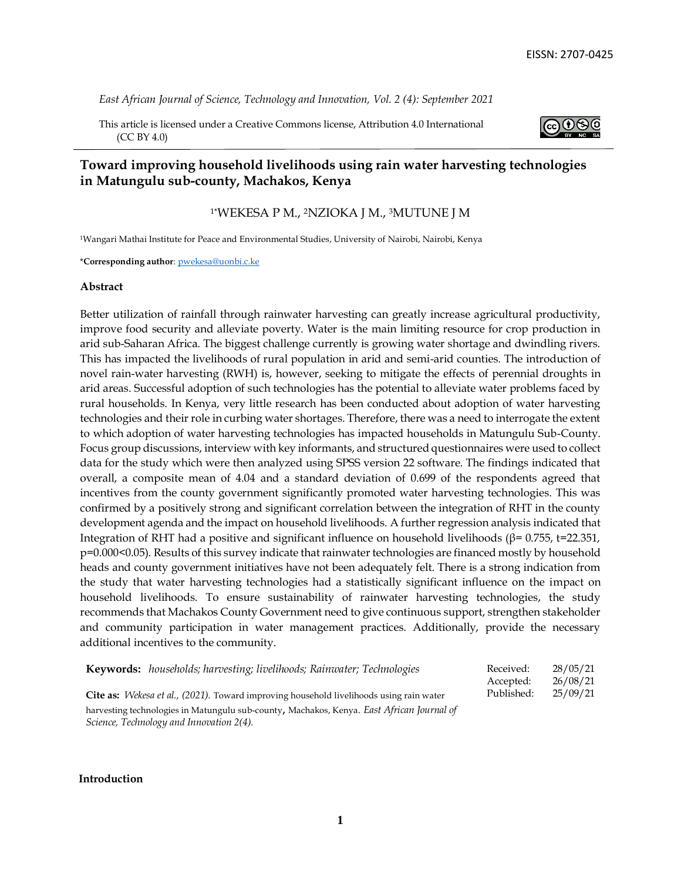*East African Journal of Science, Technology and Innovation, Vol. 2 (4): September 2021*

This article is licensed under a Creative Commons license, Attribution 4.0 International (CC BY 4.0)



# **Toward improving household livelihoods using rain water harvesting technologies in Matungulu sub-county, Machakos, Kenya**

# 1\*WEKESA P M., 2NZIOKA J M., 3MUTUNE J M

<sup>1</sup>Wangari Mathai Institute for Peace and Environmental Studies, University of Nairobi, Nairobi, Kenya

\***Corresponding author**: pwekesa@uonbi.c.ke

#### **Abstract**

Better utilization of rainfall through rainwater harvesting can greatly increase agricultural productivity, improve food security and alleviate poverty. Water is the main limiting resource for crop production in arid sub-Saharan Africa. The biggest challenge currently is growing water shortage and dwindling rivers. This has impacted the livelihoods of rural population in arid and semi-arid counties. The introduction of novel rain-water harvesting (RWH) is, however, seeking to mitigate the effects of perennial droughts in arid areas. Successful adoption of such technologies has the potential to alleviate water problems faced by rural households. In Kenya, very little research has been conducted about adoption of water harvesting technologies and their role in curbing water shortages. Therefore, there was a need to interrogate the extent to which adoption of water harvesting technologies has impacted households in Matungulu Sub-County. Focus group discussions, interview with key informants, and structured questionnaires were used to collect data for the study which were then analyzed using SPSS version 22 software. The findings indicated that overall, a composite mean of 4.04 and a standard deviation of 0.699 of the respondents agreed that incentives from the county government significantly promoted water harvesting technologies. This was confirmed by a positively strong and significant correlation between the integration of RHT in the county development agenda and the impact on household livelihoods. A further regression analysis indicated that Integration of RHT had a positive and significant influence on household livelihoods ( $β = 0.755$ , t=22.351, p=0.000<0.05). Results of this survey indicate that rainwater technologies are financed mostly by household heads and county government initiatives have not been adequately felt. There is a strong indication from the study that water harvesting technologies had a statistically significant influence on the impact on household livelihoods. To ensure sustainability of rainwater harvesting technologies, the study recommends that Machakos County Government need to give continuous support, strengthen stakeholder and community participation in water management practices. Additionally, provide the necessary additional incentives to the community.

| Keywords: households; harvesting; livelihoods; Rainwater; Technologies                                 | Received:  | 28/05/21 |
|--------------------------------------------------------------------------------------------------------|------------|----------|
|                                                                                                        | Accepted:  | 26/08/21 |
| <b>Cite as:</b> <i>Wekesa et al., (2021)</i> . Toward improving household livelihoods using rain water | Published: | 25/09/21 |
| harvesting technologies in Matungulu sub-county, Machakos, Kenya. East African Journal of              |            |          |
| Science, Technology and Innovation 2(4).                                                               |            |          |

**Introduction**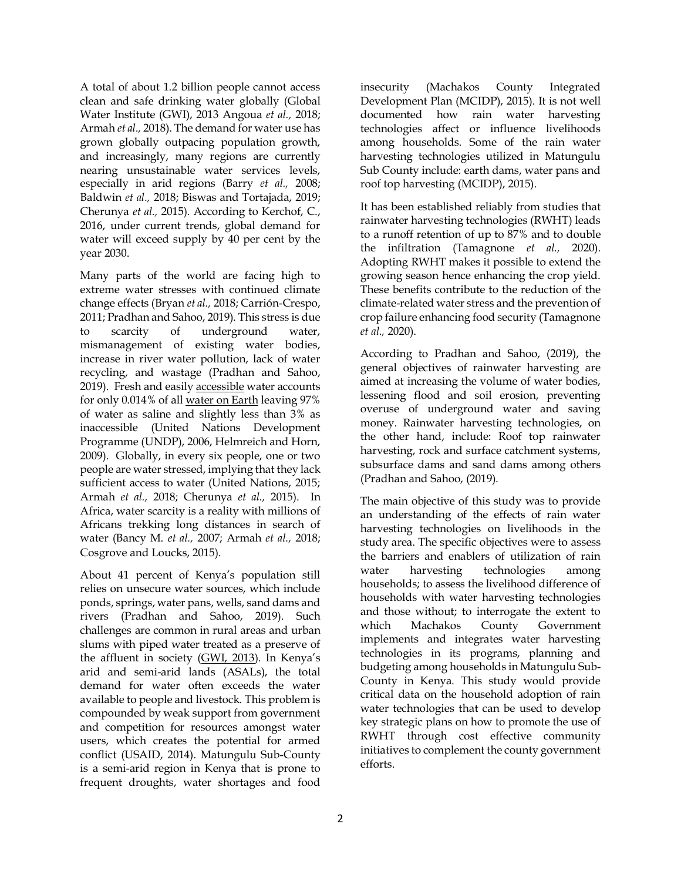A total of about 1.2 billion people cannot access clean and safe drinking water globally (Global Water Institute (GWI), 2013 Angoua *et al.,* 2018; Armah *et al.,* 2018). The demand for water use has grown globally outpacing population growth, and increasingly, many regions are currently nearing unsustainable water services levels, especially in arid regions (Barry *et al.,* 2008; Baldwin *et al.,* 2018; Biswas and Tortajada, 2019; Cherunya *et al.,* 2015). According to Kerchof, C., 2016, under current trends, global demand for water will exceed supply by 40 per cent by the year 2030.

Many parts of the world are facing high to extreme water stresses with continued climate change effects (Bryan *et al.,* 2018; Carrión-Crespo, 2011; Pradhan and Sahoo, 2019). This stress is due to scarcity of underground water, mismanagement of existing water bodies, increase in river water pollution, lack of water recycling, and wastage (Pradhan and Sahoo, 2019). Fresh and easil[y accessible](https://en.wikipedia.org/wiki/Water_supply) water accounts for only 0.014% of all [water on Earth](https://en.wikipedia.org/wiki/Water_distribution_on_Earth) leaving 97% of water as saline and slightly less than 3% as inaccessible (United Nations Development Programme (UNDP), 2006, Helmreich and Horn, 2009). Globally, in every six people, one or two people are water stressed, implying that they lack sufficient access to water (United Nations, 2015; Armah *et al.,* 2018; Cherunya *et al.,* 2015). In Africa, water scarcity is a reality with millions of Africans trekking long distances in search of water (Bancy M. *et al.,* 2007; Armah *et al.,* 2018; Cosgrove and Loucks, 2015).

About 41 percent of Kenya's population still relies on unsecure water sources, which include ponds, springs, water pans, wells, sand dams and rivers (Pradhan and Sahoo, 2019). Such challenges are common in rural areas and urban slums with piped water treated as a preserve of the affluent in society [\(GWI, 2013](https://img1.wsimg.com/blobby/go/27b53d18-6069-45f7-a1bd-d5a48bc80322/downloads/1c2meuvon_105010.pdf)). In Kenya's arid and semi-arid lands (ASALs), the total demand for water often exceeds the water available to people and livestock. This problem is compounded by weak support from government and competition for resources amongst water users, which creates the potential for armed conflict (USAID, 2014). Matungulu Sub-County is a semi-arid region in Kenya that is prone to frequent droughts, water shortages and food

insecurity (Machakos County Integrated Development Plan (MCIDP), 2015). It is not well documented how rain water harvesting technologies affect or influence livelihoods among households. Some of the rain water harvesting technologies utilized in Matungulu Sub County include: earth dams, water pans and roof top harvesting (MCIDP), 2015).

It has been established reliably from studies that rainwater harvesting technologies (RWHT) leads to a runoff retention of up to 87% and to double the infiltration (Tamagnone *et al.,* 2020). Adopting RWHT makes it possible to extend the growing season hence enhancing the crop yield. These benefits contribute to the reduction of the climate-related water stress and the prevention of crop failure enhancing food security (Tamagnone *et al.,* 2020).

According to Pradhan and Sahoo, (2019), the general objectives of rainwater harvesting are aimed at increasing the volume of water bodies, lessening flood and soil erosion, preventing overuse of underground water and saving money. Rainwater harvesting technologies, on the other hand, include: Roof top rainwater harvesting, rock and surface catchment systems, subsurface dams and sand dams among others (Pradhan and Sahoo, (2019).

The main objective of this study was to provide an understanding of the effects of rain water harvesting technologies on livelihoods in the study area. The specific objectives were to assess the barriers and enablers of utilization of rain water harvesting technologies among households; to assess the livelihood difference of households with water harvesting technologies and those without; to interrogate the extent to which Machakos County Government implements and integrates water harvesting technologies in its programs, planning and budgeting among households in Matungulu Sub-County in Kenya. This study would provide critical data on the household adoption of rain water technologies that can be used to develop key strategic plans on how to promote the use of RWHT through cost effective community initiatives to complement the county government efforts.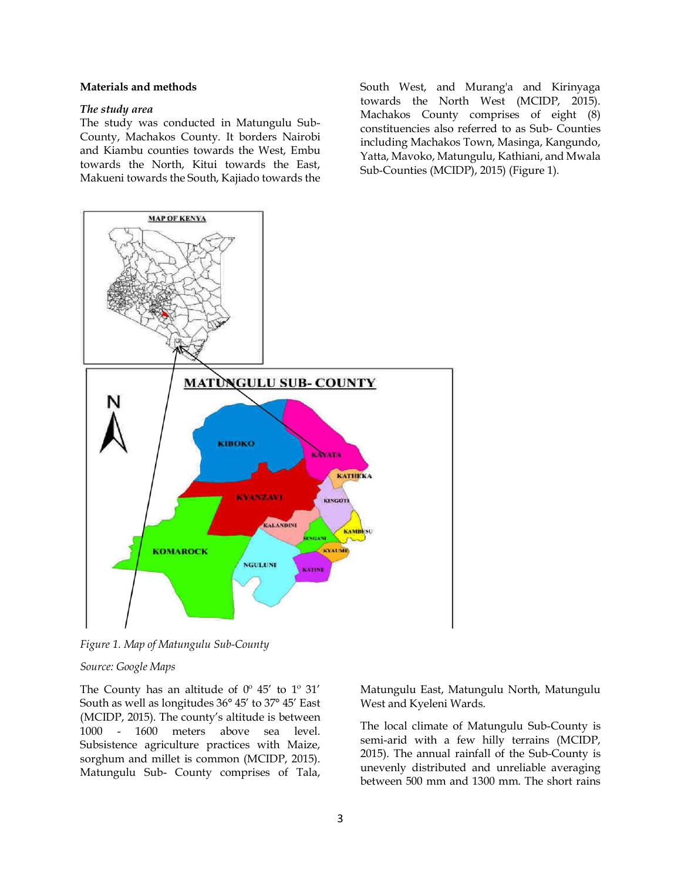# **Materials and methods**

# *The study area*

The study was conducted in Matungulu Sub-County, Machakos County. It borders Nairobi and Kiambu counties towards the West, Embu towards the North, Kitui towards the East, Makueni towards the South, Kajiado towards the South West, and Murang'a and Kirinyaga towards the North West (MCIDP, 2015). Machakos County comprises of eight (8) constituencies also referred to as Sub- Counties including Machakos Town, Masinga, Kangundo, Yatta, Mavoko, Matungulu, Kathiani, and Mwala Sub-Counties (MCIDP), 2015) (Figure 1).



*Figure 1. Map of Matungulu Sub-County*

### *Source: Google Maps*

The County has an altitude of  $0^{\circ}$  45' to  $1^{\circ}$  31' South as well as longitudes 36° 45' to 37° 45' East (MCIDP, 2015). The county's altitude is between 1000 - 1600 meters above sea level. Subsistence agriculture practices with Maize, sorghum and millet is common (MCIDP, 2015). Matungulu Sub- County comprises of Tala,

Matungulu East, Matungulu North, Matungulu West and Kyeleni Wards.

The local climate of Matungulu Sub-County is semi-arid with a few hilly terrains (MCIDP, 2015). The annual rainfall of the Sub-County is unevenly distributed and unreliable averaging between 500 mm and 1300 mm. The short rains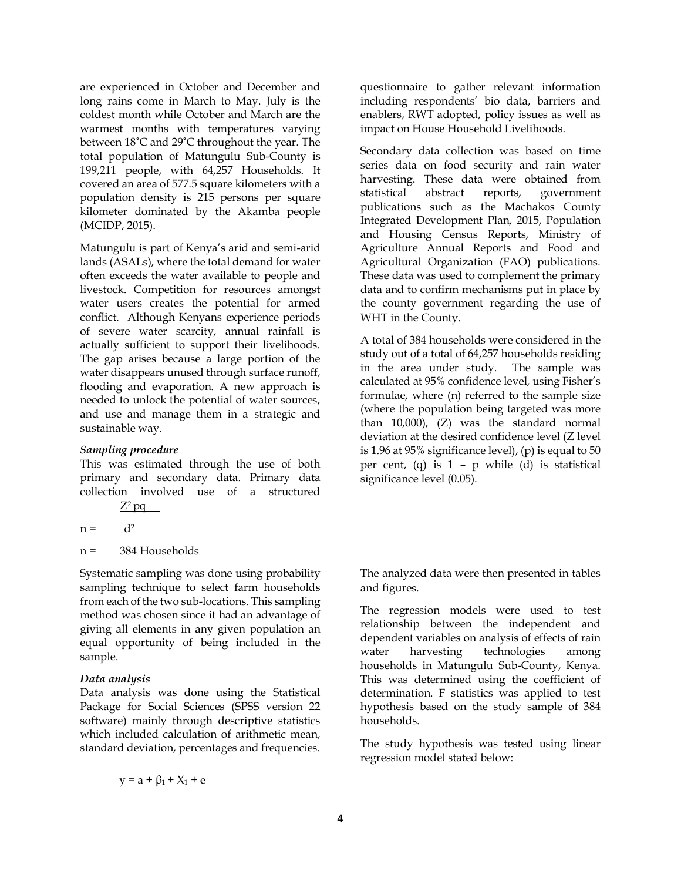are experienced in October and December and long rains come in March to May. July is the coldest month while October and March are the warmest months with temperatures varying between 18˚C and 29˚C throughout the year. The total population of Matungulu Sub-County is 199,211 people, with 64,257 Households. It covered an area of 577.5 square kilometers with a population density is 215 persons per square kilometer dominated by the Akamba people (MCIDP, 2015).

Matungulu is part of Kenya's arid and semi-arid lands (ASALs), where the total demand for water often exceeds the water available to people and livestock. Competition for resources amongst water users creates the potential for armed conflict. Although Kenyans experience periods of severe water scarcity, annual rainfall is actually sufficient to support their livelihoods. The gap arises because a large portion of the water disappears unused through surface runoff, flooding and evaporation. A new approach is needed to unlock the potential of water sources, and use and manage them in a strategic and sustainable way.

# *Sampling procedure*

This was estimated through the use of both primary and secondary data. Primary data collection involved use of a structured

$$
\mathsf{Z}^2\mathsf{p}\mathsf{q}
$$

$$
n = d^2
$$

n = 384 Households

Systematic sampling was done using probability sampling technique to select farm households from each of the two sub-locations. This sampling method was chosen since it had an advantage of giving all elements in any given population an equal opportunity of being included in the sample.

# *Data analysis*

Data analysis was done using the Statistical Package for Social Sciences (SPSS version 22 software) mainly through descriptive statistics which included calculation of arithmetic mean, standard deviation, percentages and frequencies.

$$
y = a + \beta_1 + X_1 + e
$$

questionnaire to gather relevant information including respondents' bio data, barriers and enablers, RWT adopted, policy issues as well as impact on House Household Livelihoods.

Secondary data collection was based on time series data on food security and rain water harvesting. These data were obtained from statistical abstract reports, government publications such as the Machakos County Integrated Development Plan, 2015, Population and Housing Census Reports, Ministry of Agriculture Annual Reports and Food and Agricultural Organization (FAO) publications. These data was used to complement the primary data and to confirm mechanisms put in place by the county government regarding the use of WHT in the County.

A total of 384 households were considered in the study out of a total of 64,257 households residing in the area under study. The sample was calculated at 95% confidence level, using Fisher's formulae, where (n) referred to the sample size (where the population being targeted was more than 10,000), (Z) was the standard normal deviation at the desired confidence level (Z level is 1.96 at 95% significance level), (p) is equal to 50 per cent, (q) is 1 – p while (d) is statistical significance level (0.05).

The analyzed data were then presented in tables and figures.

The regression models were used to test relationship between the independent and dependent variables on analysis of effects of rain water harvesting technologies among households in Matungulu Sub-County, Kenya. This was determined using the coefficient of determination. F statistics was applied to test hypothesis based on the study sample of 384 households.

The study hypothesis was tested using linear regression model stated below: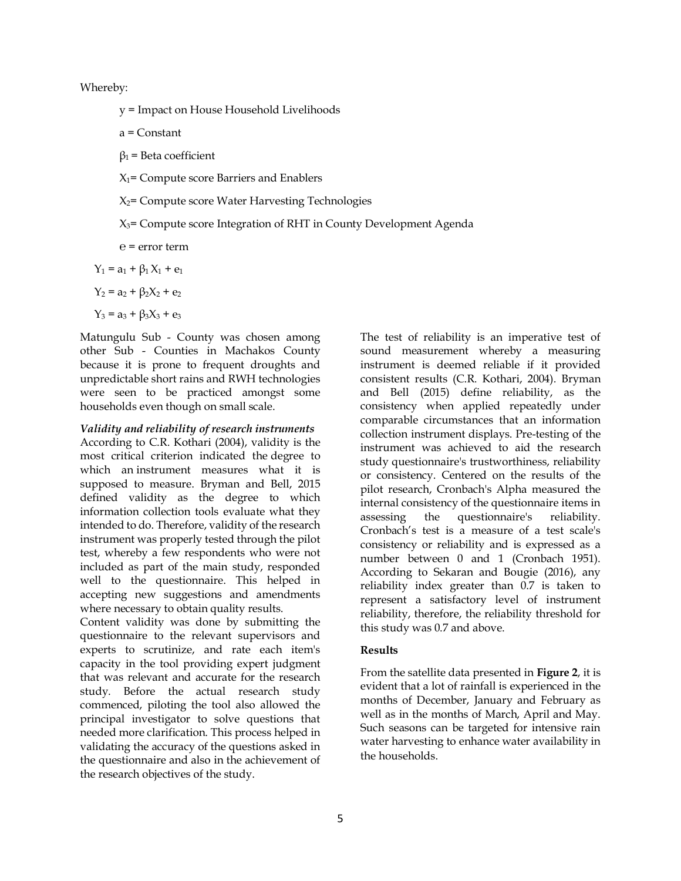Whereby:

y = Impact on House Household Livelihoods

a = Constant

 $β_1$  = Beta coefficient

 $X_1$ = Compute score Barriers and Enablers

 $X_2$ = Compute score Water Harvesting Technologies

# X3= Compute score Integration of RHT in County Development Agenda

 $e = error term$ 

$$
Y_1 = a_1 + \beta_1 X_1 + e_1
$$

$$
Y_2 = a_2 + \beta_2 X_2 + e_2
$$

 $Y_3 = a_3 + \beta_3 X_3 + e_3$ 

Matungulu Sub - County was chosen among other Sub - Counties in Machakos County because it is prone to frequent droughts and unpredictable short rains and RWH technologies were seen to be practiced amongst some households even though on small scale.

### *Validity and reliability of research instruments*

According to C.R. Kothari (2004), validity is the most critical criterion indicated the degree to which an instrument measures what it is supposed to measure. Bryman and Bell, 2015 defined validity as the degree to which information collection tools evaluate what they intended to do. Therefore, validity of the research instrument was properly tested through the pilot test, whereby a few respondents who were not included as part of the main study, responded well to the questionnaire. This helped in accepting new suggestions and amendments where necessary to obtain quality results.

Content validity was done by submitting the questionnaire to the relevant supervisors and experts to scrutinize, and rate each item's capacity in the tool providing expert judgment that was relevant and accurate for the research study. Before the actual research study commenced, piloting the tool also allowed the principal investigator to solve questions that needed more clarification. This process helped in validating the accuracy of the questions asked in the questionnaire and also in the achievement of the research objectives of the study.

The test of reliability is an imperative test of sound measurement whereby a measuring instrument is deemed reliable if it provided consistent results (C.R. Kothari, 2004). Bryman and Bell (2015) define reliability, as the consistency when applied repeatedly under comparable circumstances that an information collection instrument displays. Pre-testing of the instrument was achieved to aid the research study questionnaire's trustworthiness, reliability or consistency. Centered on the results of the pilot research, Cronbach's Alpha measured the internal consistency of the questionnaire items in assessing the questionnaire's reliability. Cronbach's test is a measure of a test scale's consistency or reliability and is expressed as a number between 0 and 1 (Cronbach 1951). According to Sekaran and Bougie (2016), any reliability index greater than 0.7 is taken to represent a satisfactory level of instrument reliability, therefore, the reliability threshold for this study was 0.7 and above.

# **Results**

From the satellite data presented in **Figure 2**, it is evident that a lot of rainfall is experienced in the months of December, January and February as well as in the months of March, April and May. Such seasons can be targeted for intensive rain water harvesting to enhance water availability in the households.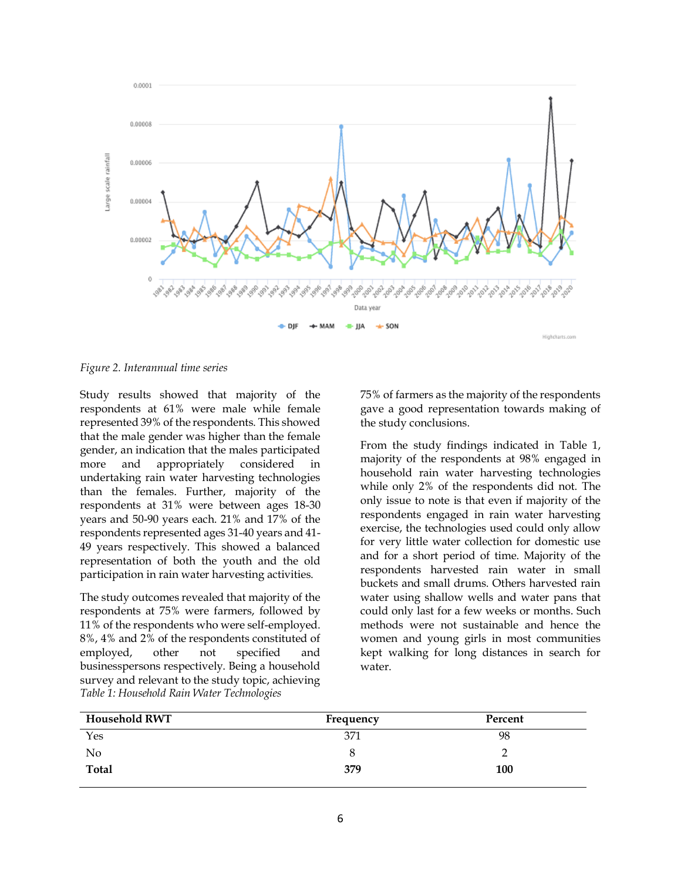

*Figure 2. Interannual time series*

Study results showed that majority of the respondents at 61% were male while female represented 39% of the respondents. This showed that the male gender was higher than the female gender, an indication that the males participated more and appropriately considered in undertaking rain water harvesting technologies than the females. Further, majority of the respondents at 31% were between ages 18-30 years and 50-90 years each. 21% and 17% of the respondents represented ages 31-40 years and 41- 49 years respectively. This showed a balanced representation of both the youth and the old participation in rain water harvesting activities.

The study outcomes revealed that majority of the respondents at 75% were farmers, followed by 11% of the respondents who were self-employed. 8%, 4% and 2% of the respondents constituted of employed, other not specified and businesspersons respectively. Being a household survey and relevant to the study topic, achieving *Table 1: Household Rain Water Technologies*

75% of farmers as the majority of the respondents gave a good representation towards making of the study conclusions.

From the study findings indicated in Table 1, majority of the respondents at 98% engaged in household rain water harvesting technologies while only 2% of the respondents did not. The only issue to note is that even if majority of the respondents engaged in rain water harvesting exercise, the technologies used could only allow for very little water collection for domestic use and for a short period of time. Majority of the respondents harvested rain water in small buckets and small drums. Others harvested rain water using shallow wells and water pans that could only last for a few weeks or months. Such methods were not sustainable and hence the women and young girls in most communities kept walking for long distances in search for water.

| <b>Household RWT</b> | Frequency | Percent |
|----------------------|-----------|---------|
| Yes                  | 371       | 98      |
| No                   | 8         |         |
| Total                | 379       | 100     |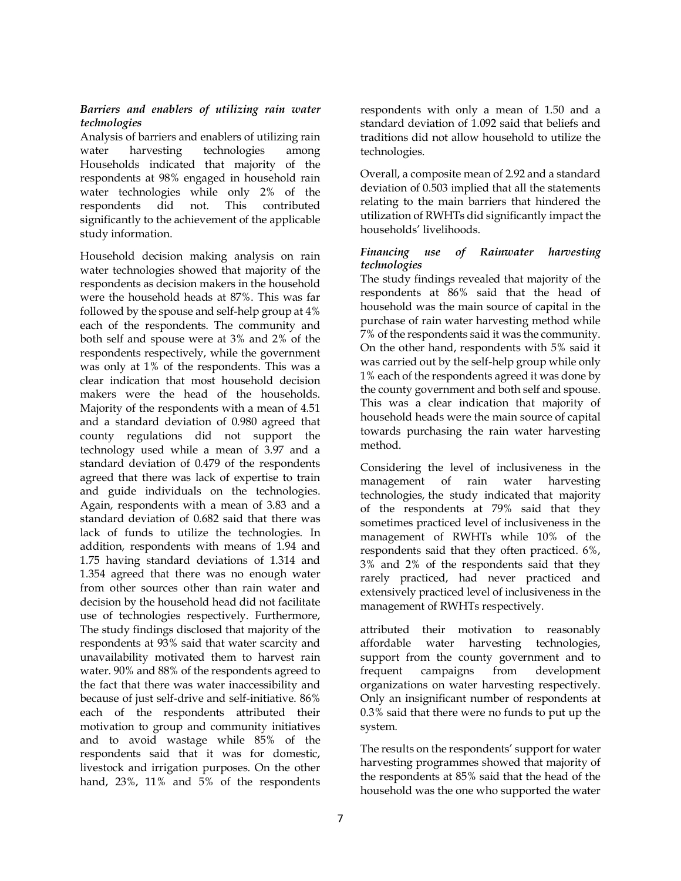### *Barriers and enablers of utilizing rain water technologies*

Analysis of barriers and enablers of utilizing rain water harvesting technologies among Households indicated that majority of the respondents at 98% engaged in household rain water technologies while only 2% of the respondents did not. This contributed significantly to the achievement of the applicable study information.

Household decision making analysis on rain water technologies showed that majority of the respondents as decision makers in the household were the household heads at 87%. This was far followed by the spouse and self-help group at 4% each of the respondents. The community and both self and spouse were at 3% and 2% of the respondents respectively, while the government was only at 1% of the respondents. This was a clear indication that most household decision makers were the head of the households. Majority of the respondents with a mean of 4.51 and a standard deviation of 0.980 agreed that county regulations did not support the technology used while a mean of 3.97 and a standard deviation of 0.479 of the respondents agreed that there was lack of expertise to train and guide individuals on the technologies. Again, respondents with a mean of 3.83 and a standard deviation of 0.682 said that there was lack of funds to utilize the technologies. In addition, respondents with means of 1.94 and 1.75 having standard deviations of 1.314 and 1.354 agreed that there was no enough water from other sources other than rain water and decision by the household head did not facilitate use of technologies respectively. Furthermore, The study findings disclosed that majority of the respondents at 93% said that water scarcity and unavailability motivated them to harvest rain water. 90% and 88% of the respondents agreed to the fact that there was water inaccessibility and because of just self-drive and self-initiative. 86% each of the respondents attributed their motivation to group and community initiatives and to avoid wastage while 85% of the respondents said that it was for domestic, livestock and irrigation purposes. On the other hand, 23%, 11% and 5% of the respondents

respondents with only a mean of 1.50 and a standard deviation of 1.092 said that beliefs and traditions did not allow household to utilize the technologies.

Overall, a composite mean of 2.92 and a standard deviation of 0.503 implied that all the statements relating to the main barriers that hindered the utilization of RWHTs did significantly impact the households' livelihoods.

# *Financing use of Rainwater harvesting technologies*

The study findings revealed that majority of the respondents at 86% said that the head of household was the main source of capital in the purchase of rain water harvesting method while 7% of the respondents said it was the community. On the other hand, respondents with 5% said it was carried out by the self-help group while only 1% each of the respondents agreed it was done by the county government and both self and spouse. This was a clear indication that majority of household heads were the main source of capital towards purchasing the rain water harvesting method.

Considering the level of inclusiveness in the management of rain water harvesting technologies, the study indicated that majority of the respondents at 79% said that they sometimes practiced level of inclusiveness in the management of RWHTs while 10% of the respondents said that they often practiced. 6%, 3% and 2% of the respondents said that they rarely practiced, had never practiced and extensively practiced level of inclusiveness in the management of RWHTs respectively.

attributed their motivation to reasonably affordable water harvesting technologies, support from the county government and to frequent campaigns from development organizations on water harvesting respectively. Only an insignificant number of respondents at 0.3% said that there were no funds to put up the system.

The results on the respondents' support for water harvesting programmes showed that majority of the respondents at 85% said that the head of the household was the one who supported the water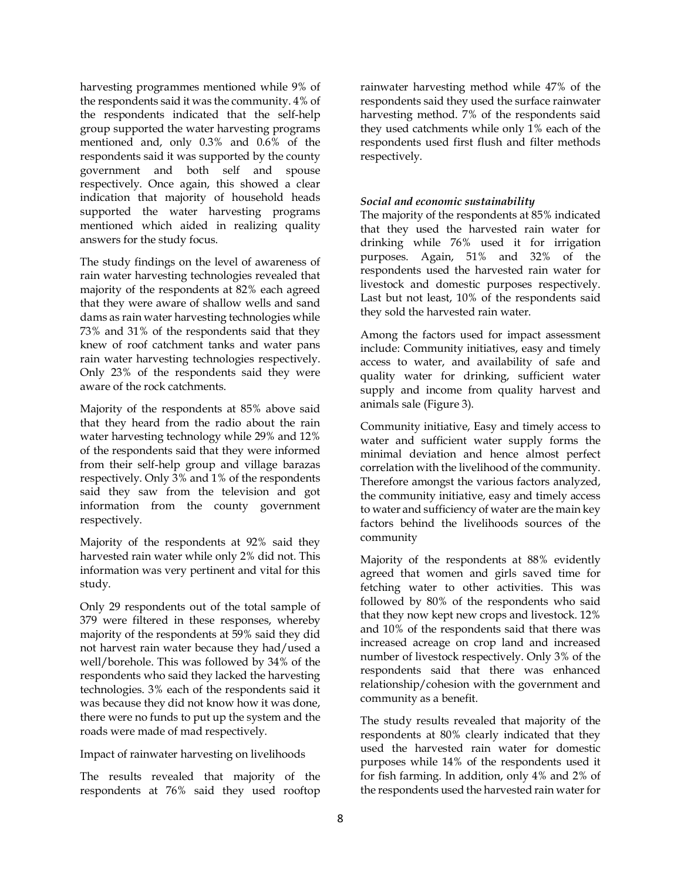harvesting programmes mentioned while 9% of the respondents said it was the community. 4% of the respondents indicated that the self-help group supported the water harvesting programs mentioned and, only 0.3% and 0.6% of the respondents said it was supported by the county government and both self and spouse respectively. Once again, this showed a clear indication that majority of household heads supported the water harvesting programs mentioned which aided in realizing quality answers for the study focus.

The study findings on the level of awareness of rain water harvesting technologies revealed that majority of the respondents at 82% each agreed that they were aware of shallow wells and sand dams as rain water harvesting technologies while 73% and 31% of the respondents said that they knew of roof catchment tanks and water pans rain water harvesting technologies respectively. Only 23% of the respondents said they were aware of the rock catchments.

Majority of the respondents at 85% above said that they heard from the radio about the rain water harvesting technology while 29% and 12% of the respondents said that they were informed from their self-help group and village barazas respectively. Only 3% and 1% of the respondents said they saw from the television and got information from the county government respectively.

Majority of the respondents at 92% said they harvested rain water while only 2% did not. This information was very pertinent and vital for this study.

Only 29 respondents out of the total sample of 379 were filtered in these responses, whereby majority of the respondents at 59% said they did not harvest rain water because they had/used a well/borehole. This was followed by 34% of the respondents who said they lacked the harvesting technologies. 3% each of the respondents said it was because they did not know how it was done, there were no funds to put up the system and the roads were made of mad respectively.

# Impact of rainwater harvesting on livelihoods

The results revealed that majority of the respondents at 76% said they used rooftop

rainwater harvesting method while 47% of the respondents said they used the surface rainwater harvesting method. 7% of the respondents said they used catchments while only  $1\%$  each of the respondents used first flush and filter methods respectively.

# *Social and economic sustainability*

The majority of the respondents at 85% indicated that they used the harvested rain water for drinking while 76% used it for irrigation purposes. Again, 51% and 32% of the respondents used the harvested rain water for livestock and domestic purposes respectively. Last but not least, 10% of the respondents said they sold the harvested rain water.

Among the factors used for impact assessment include: Community initiatives, easy and timely access to water, and availability of safe and quality water for drinking, sufficient water supply and income from quality harvest and animals sale (Figure 3).

Community initiative, Easy and timely access to water and sufficient water supply forms the minimal deviation and hence almost perfect correlation with the livelihood of the community. Therefore amongst the various factors analyzed, the community initiative, easy and timely access to water and sufficiency of water are the main key factors behind the livelihoods sources of the community

Majority of the respondents at 88% evidently agreed that women and girls saved time for fetching water to other activities. This was followed by 80% of the respondents who said that they now kept new crops and livestock. 12% and 10% of the respondents said that there was increased acreage on crop land and increased number of livestock respectively. Only 3% of the respondents said that there was enhanced relationship/cohesion with the government and community as a benefit.

The study results revealed that majority of the respondents at 80% clearly indicated that they used the harvested rain water for domestic purposes while 14% of the respondents used it for fish farming. In addition, only 4% and 2% of the respondents used the harvested rain water for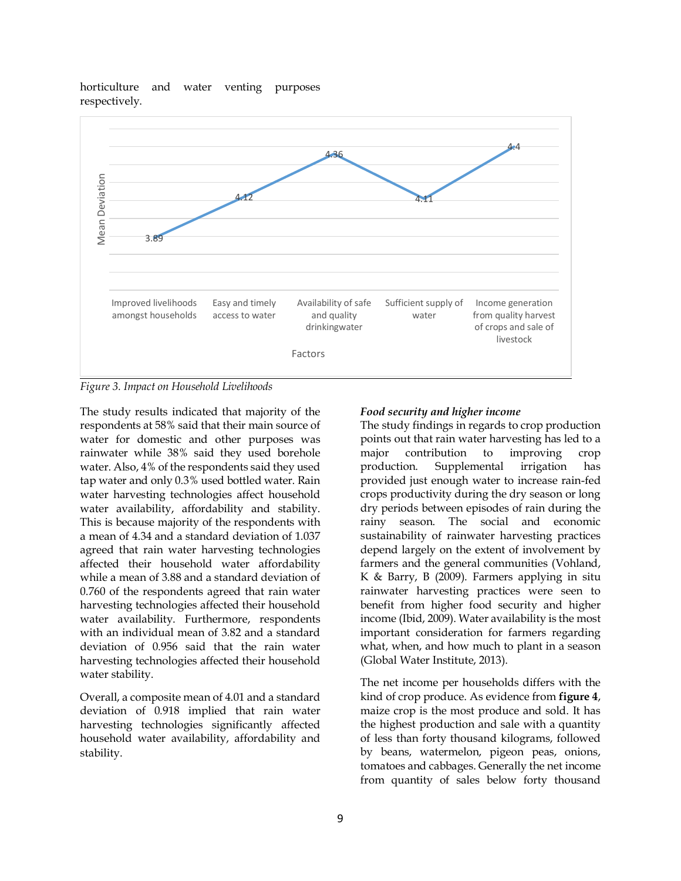



*Figure 3. Impact on Household Livelihoods*

The study results indicated that majority of the respondents at 58% said that their main source of water for domestic and other purposes was rainwater while 38% said they used borehole water. Also, 4% of the respondents said they used tap water and only 0.3% used bottled water. Rain water harvesting technologies affect household water availability, affordability and stability. This is because majority of the respondents with a mean of 4.34 and a standard deviation of 1.037 agreed that rain water harvesting technologies affected their household water affordability while a mean of 3.88 and a standard deviation of 0.760 of the respondents agreed that rain water harvesting technologies affected their household water availability. Furthermore, respondents with an individual mean of 3.82 and a standard deviation of 0.956 said that the rain water harvesting technologies affected their household water stability.

Overall, a composite mean of 4.01 and a standard deviation of 0.918 implied that rain water harvesting technologies significantly affected household water availability, affordability and stability.

### *Food security and higher income*

The study findings in regards to crop production points out that rain water harvesting has led to a major contribution to improving crop production. Supplemental irrigation has provided just enough water to increase rain-fed crops productivity during the dry season or long dry periods between episodes of rain during the rainy season. The social and economic sustainability of rainwater harvesting practices depend largely on the extent of involvement by farmers and the general communities (Vohland, K & Barry, B (2009). Farmers applying in situ rainwater harvesting practices were seen to benefit from higher food security and higher income (Ibid, 2009). Water availability is the most important consideration for farmers regarding what, when, and how much to plant in a season (Global Water Institute, 2013).

The net income per households differs with the kind of crop produce. As evidence from **figure 4**, maize crop is the most produce and sold. It has the highest production and sale with a quantity of less than forty thousand kilograms, followed by beans, watermelon, pigeon peas, onions, tomatoes and cabbages. Generally the net income from quantity of sales below forty thousand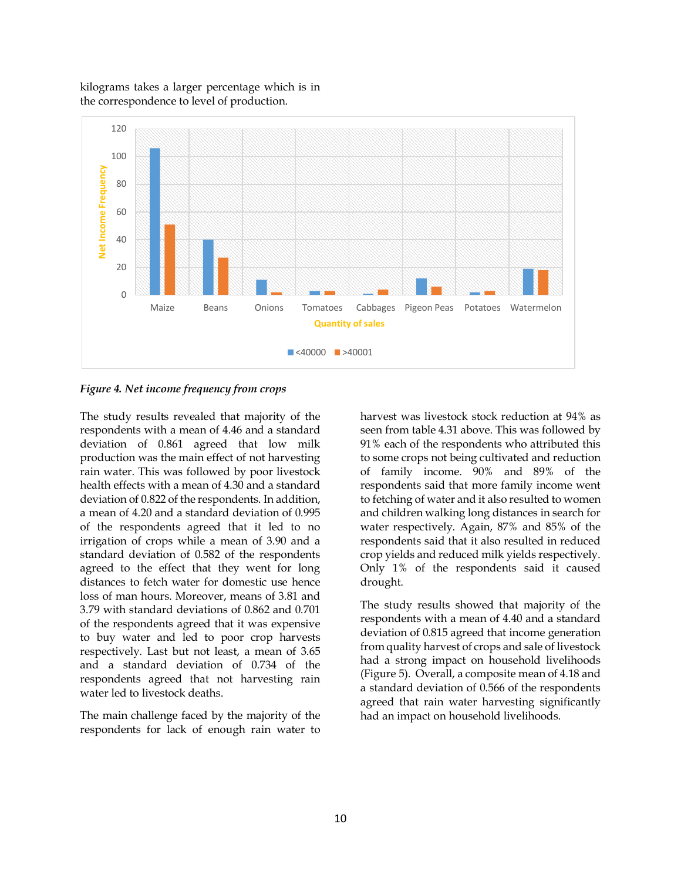

kilograms takes a larger percentage which is in the correspondence to level of production.

*Figure 4. Net income frequency from crops*

The study results revealed that majority of the respondents with a mean of 4.46 and a standard deviation of 0.861 agreed that low milk production was the main effect of not harvesting rain water. This was followed by poor livestock health effects with a mean of 4.30 and a standard deviation of 0.822 of the respondents. In addition, a mean of 4.20 and a standard deviation of 0.995 of the respondents agreed that it led to no irrigation of crops while a mean of 3.90 and a standard deviation of 0.582 of the respondents agreed to the effect that they went for long distances to fetch water for domestic use hence loss of man hours. Moreover, means of 3.81 and 3.79 with standard deviations of 0.862 and 0.701 of the respondents agreed that it was expensive to buy water and led to poor crop harvests respectively. Last but not least, a mean of 3.65 and a standard deviation of 0.734 of the respondents agreed that not harvesting rain water led to livestock deaths.

The main challenge faced by the majority of the respondents for lack of enough rain water to harvest was livestock stock reduction at 94% as seen from table 4.31 above. This was followed by 91% each of the respondents who attributed this to some crops not being cultivated and reduction of family income. 90% and 89% of the respondents said that more family income went to fetching of water and it also resulted to women and children walking long distances in search for water respectively. Again, 87% and 85% of the respondents said that it also resulted in reduced crop yields and reduced milk yields respectively. Only 1% of the respondents said it caused drought.

The study results showed that majority of the respondents with a mean of 4.40 and a standard deviation of 0.815 agreed that income generation from quality harvest of crops and sale of livestock had a strong impact on household livelihoods (Figure 5). Overall, a composite mean of 4.18 and a standard deviation of 0.566 of the respondents agreed that rain water harvesting significantly had an impact on household livelihoods.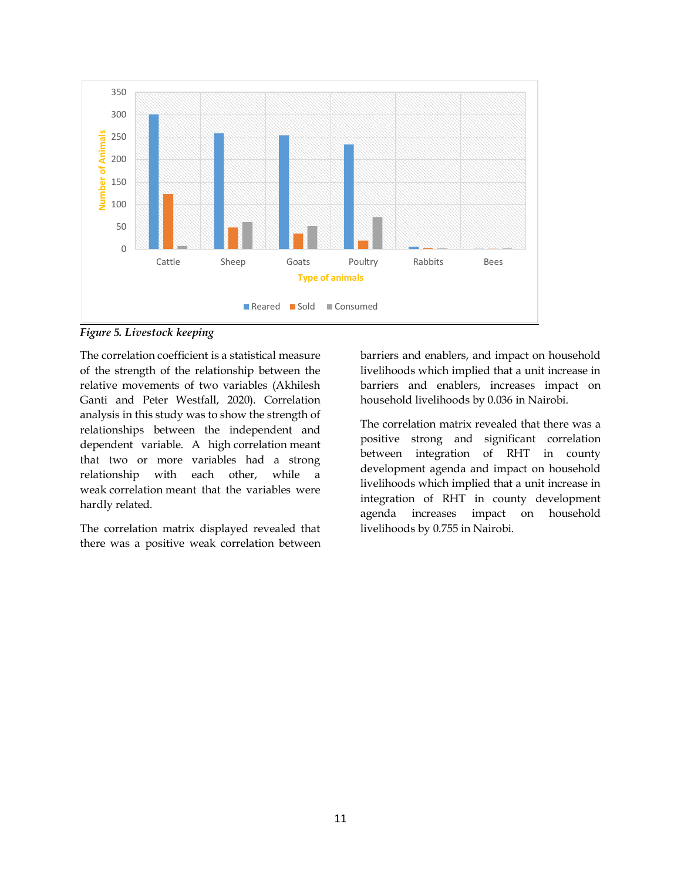

*Figure 5. Livestock keeping*

The correlation coefficient is a statistical measure of the strength of the relationship between the relative movements of two variables (Akhilesh Ganti and Peter Westfall, 2020). Correlation analysis in this study was to show the strength of relationships between the independent and dependent variable. A high correlation meant that two or more variables had a strong relationship with each other, while a weak correlation meant that the variables were hardly related.

The correlation matrix displayed revealed that there was a positive weak correlation between barriers and enablers, and impact on household livelihoods which implied that a unit increase in barriers and enablers, increases impact on household livelihoods by 0.036 in Nairobi.

The correlation matrix revealed that there was a positive strong and significant correlation between integration of RHT in county development agenda and impact on household livelihoods which implied that a unit increase in integration of RHT in county development agenda increases impact on household livelihoods by 0.755 in Nairobi.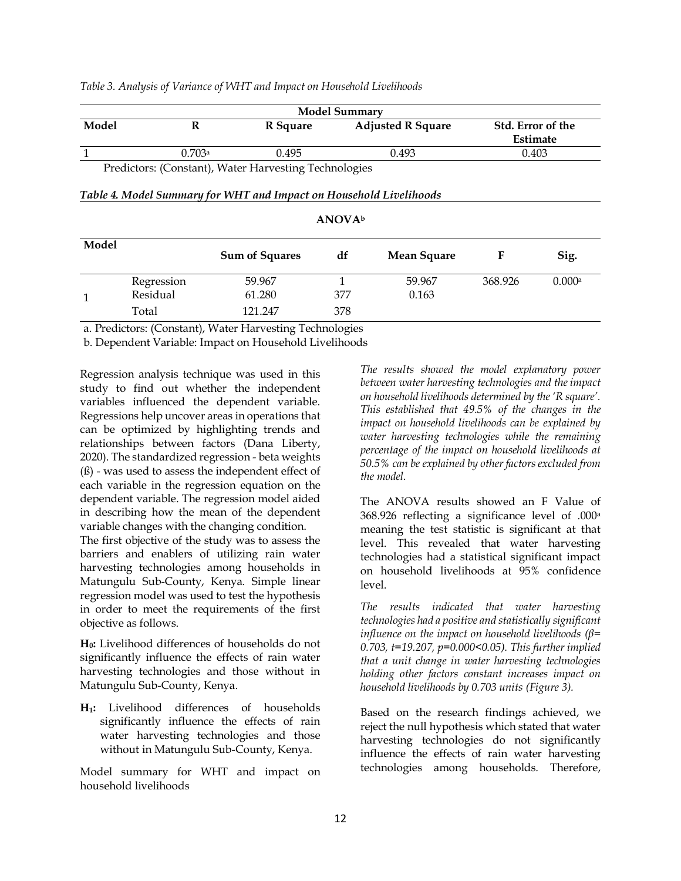|              |            |                                                                    | <b>Model Summary</b>      |                          |                               |        |  |  |
|--------------|------------|--------------------------------------------------------------------|---------------------------|--------------------------|-------------------------------|--------|--|--|
| Model        | R          | R Square                                                           |                           | <b>Adjusted R Square</b> | Std. Error of the<br>Estimate |        |  |  |
| $\mathbf{1}$ | 0.703a     | 0.495                                                              |                           | 0.493                    | 0.403                         |        |  |  |
|              |            | Predictors: (Constant), Water Harvesting Technologies              |                           |                          |                               |        |  |  |
|              |            | Table 4. Model Summary for WHT and Impact on Household Livelihoods |                           |                          |                               |        |  |  |
|              |            |                                                                    | <b>ANOVA</b> <sup>b</sup> |                          |                               |        |  |  |
| Model        |            | <b>Sum of Squares</b>                                              | df                        | Mean Square              | F                             | Sig.   |  |  |
|              | Regression | 59.967                                                             | 1                         | 59.967                   | 368.926                       | 0.000a |  |  |
| 1            | Residual   | 61.280                                                             | 377                       | 0.163                    |                               |        |  |  |
|              | Total      | 121.247                                                            | 378                       |                          |                               |        |  |  |

#### *Table 3. Analysis of Variance of WHT and Impact on Household Livelihoods*

a. Predictors: (Constant), Water Harvesting Technologies

b. Dependent Variable: Impact on Household Livelihoods

Regression analysis technique was used in this study to find out whether the independent variables influenced the dependent variable. Regressions help uncover areas in operations that can be optimized by highlighting trends and relationships between factors (Dana Liberty, 2020). The standardized regression - beta weights (ß) - was used to assess the independent effect of each variable in the regression equation on the dependent variable. The regression model aided in describing how the mean of the dependent variable changes with the changing condition.

The first objective of the study was to assess the barriers and enablers of utilizing rain water harvesting technologies among households in Matungulu Sub-County, Kenya. Simple linear regression model was used to test the hypothesis in order to meet the requirements of the first objective as follows.

**H0:** Livelihood differences of households do not significantly influence the effects of rain water harvesting technologies and those without in Matungulu Sub-County, Kenya.

**H1:** Livelihood differences of households significantly influence the effects of rain water harvesting technologies and those without in Matungulu Sub-County, Kenya.

Model summary for WHT and impact on household livelihoods

*The results showed the model explanatory power between water harvesting technologies and the impact on household livelihoods determined by the 'R square'. This established that 49.5% of the changes in the impact on household livelihoods can be explained by water harvesting technologies while the remaining percentage of the impact on household livelihoods at 50.5% can be explained by other factors excluded from the model.*

The ANOVA results showed an F Value of 368.926 reflecting a significance level of .000<sup>a</sup> meaning the test statistic is significant at that level. This revealed that water harvesting technologies had a statistical significant impact on household livelihoods at 95% confidence level.

*The results indicated that water harvesting technologies had a positive and statistically significant influence on the impact on household livelihoods (β= 0.703, t=19.207, p=0.000<0.05). This further implied that a unit change in water harvesting technologies holding other factors constant increases impact on household livelihoods by 0.703 units (Figure 3).*

Based on the research findings achieved, we reject the null hypothesis which stated that water harvesting technologies do not significantly influence the effects of rain water harvesting technologies among households. Therefore,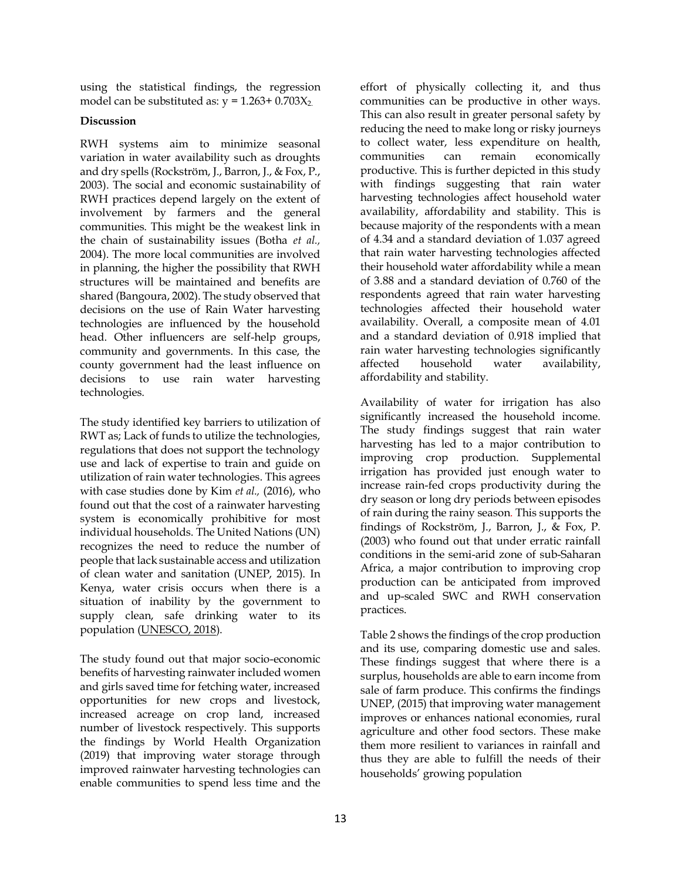using the statistical findings, the regression model can be substituted as:  $y = 1.263 + 0.703X_2$ .

# **Discussion**

RWH systems aim to minimize seasonal variation in water availability such as droughts and dry spells (Rockström, J., Barron, J., & Fox, P., 2003). The social and economic sustainability of RWH practices depend largely on the extent of involvement by farmers and the general communities. This might be the weakest link in the chain of sustainability issues (Botha *et al.,* 2004). The more local communities are involved in planning, the higher the possibility that RWH structures will be maintained and benefits are shared (Bangoura, 2002). The study observed that decisions on the use of Rain Water harvesting technologies are influenced by the household head. Other influencers are self-help groups, community and governments. In this case, the county government had the least influence on decisions to use rain water harvesting technologies.

The study identified key barriers to utilization of RWT as; Lack of funds to utilize the technologies, regulations that does not support the technology use and lack of expertise to train and guide on utilization of rain water technologies. This agrees with case studies done by Kim *et al.,* (2016), who found out that the cost of a rainwater harvesting system is economically prohibitive for most individual households. The United Nations (UN) recognizes the need to reduce the number of people that lack sustainable access and utilization of clean water and sanitation (UNEP, 2015). In Kenya, water crisis occurs when there is a situation of inability by the government to supply clean, safe drinking water to its population [\(UNESCO, 2018\)](http://unesdoc.unesco.org/images/0026/002614/261424e.pdf).

The study found out that major socio-economic benefits of harvesting rainwater included women and girls saved time for fetching water, increased opportunities for new crops and livestock, increased acreage on crop land, increased number of livestock respectively. This supports the findings by World Health Organization (2019) that improving water storage through improved rainwater harvesting technologies can enable communities to spend less time and the

effort of physically collecting it, and thus communities can be productive in other ways. This can also result in greater personal safety by reducing the need to make long or risky journeys to collect water, less expenditure on health, communities can remain economically productive. This is further depicted in this study with findings suggesting that rain water harvesting technologies affect household water availability, affordability and stability. This is because majority of the respondents with a mean of 4.34 and a standard deviation of 1.037 agreed that rain water harvesting technologies affected their household water affordability while a mean of 3.88 and a standard deviation of 0.760 of the respondents agreed that rain water harvesting technologies affected their household water availability. Overall, a composite mean of 4.01 and a standard deviation of 0.918 implied that rain water harvesting technologies significantly affected household water availability, affordability and stability.

Availability of water for irrigation has also significantly increased the household income. The study findings suggest that rain water harvesting has led to a major contribution to improving crop production. Supplemental irrigation has provided just enough water to increase rain-fed crops productivity during the dry season or long dry periods between episodes of rain during the rainy season. This supports the findings of Rockström, J., Barron, J., & Fox, P. (2003) who found out that under erratic rainfall conditions in the semi-arid zone of sub-Saharan Africa, a major contribution to improving crop production can be anticipated from improved and up-scaled SWC and RWH conservation practices.

Table 2 shows the findings of the crop production and its use, comparing domestic use and sales. These findings suggest that where there is a surplus, households are able to earn income from sale of farm produce. This confirms the findings UNEP, (2015) that improving water management improves or enhances national economies, rural agriculture and other food sectors. These make them more resilient to variances in rainfall and thus they are able to fulfill the needs of their households' growing population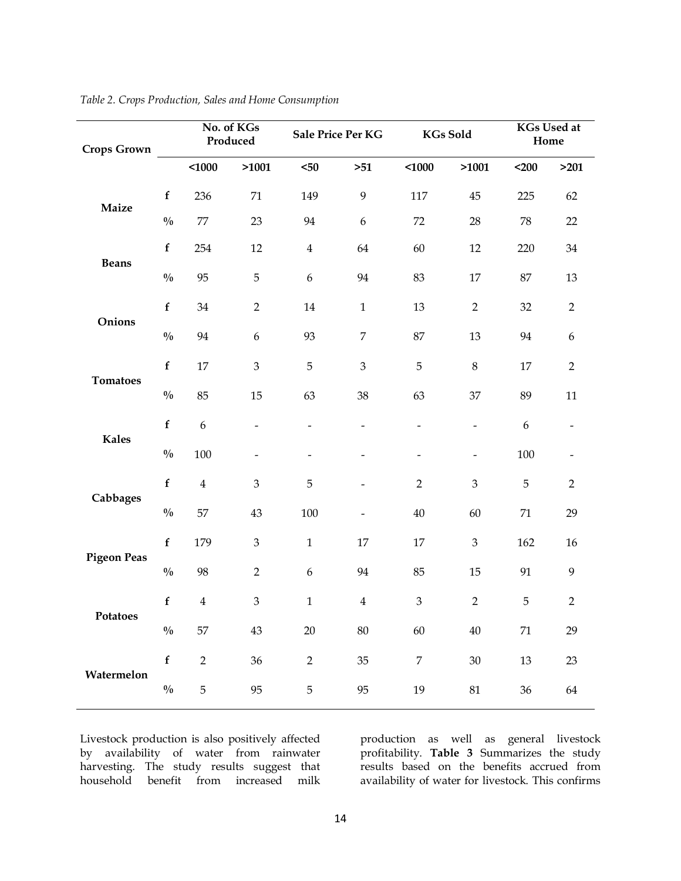| <b>Crops Grown</b> |               | No. of KGs<br>Produced |                              | Sale Price Per KG |                          | <b>KGs Sold</b>              |                              | <b>KGs Used at</b><br>Home |                  |
|--------------------|---------------|------------------------|------------------------------|-------------------|--------------------------|------------------------------|------------------------------|----------------------------|------------------|
|                    |               | 1000                   | >1001                        | $50$              | $>51$                    | $1000$                       | >1001                        | $200$                      | >201             |
| Maize              | $\mathbf f$   | 236                    | $71\,$                       | 149               | 9                        | 117                          | 45                           | 225                        | 62               |
|                    | $\frac{0}{0}$ | $77\,$                 | 23                           | 94                | $\boldsymbol{6}$         | 72                           | 28                           | 78                         | 22               |
| <b>Beans</b>       | $\mathbf f$   | 254                    | 12                           | $\overline{4}$    | 64                       | 60                           | $12\,$                       | 220                        | $34\,$           |
|                    | $\frac{0}{0}$ | 95                     | $\mathbf 5$                  | $\boldsymbol{6}$  | 94                       | 83                           | 17                           | 87                         | 13               |
| Onions             | $\mathbf f$   | 34                     | $\overline{2}$               | $14\,$            | $\mathbf 1$              | 13                           | $\overline{2}$               | 32                         | $\overline{2}$   |
|                    | $\frac{0}{0}$ | 94                     | 6                            | 93                | $\overline{7}$           | 87                           | 13                           | 94                         | $\boldsymbol{6}$ |
| <b>Tomatoes</b>    | $\mathbf f$   | $17\,$                 | $\mathfrak{Z}$               | $\mathbf 5$       | 3                        | $\mathbf 5$                  | $8\,$                        | $17\,$                     | $\overline{2}$   |
|                    | $\frac{0}{0}$ | 85                     | 15                           | 63                | 38                       | 63                           | 37                           | 89                         | 11               |
| <b>Kales</b>       | $\mathbf f$   | $\boldsymbol{6}$       | $\qquad \qquad \blacksquare$ | $\qquad \qquad -$ | $\overline{\phantom{0}}$ | $\qquad \qquad -$            | $\overline{\phantom{a}}$     | $\boldsymbol{6}$           |                  |
|                    | $\frac{0}{0}$ | 100                    | $\qquad \qquad \blacksquare$ |                   | -                        | $\qquad \qquad \blacksquare$ | $\qquad \qquad \blacksquare$ | 100                        |                  |
| Cabbages           | $\mathbf f$   | $\bf 4$                | 3                            | 5                 | $\overline{a}$           | $\overline{2}$               | 3                            | 5                          | $\overline{2}$   |
|                    | $\frac{0}{0}$ | 57                     | 43                           | 100               | $\overline{a}$           | 40                           | 60                           | $71\,$                     | 29               |
| <b>Pigeon Peas</b> | $\mathbf f$   | 179                    | $\mathfrak{Z}$               | $\mathbf 1$       | 17                       | 17                           | $\mathfrak{B}$               | 162                        | 16               |
|                    | $\frac{0}{0}$ | 98                     | $\overline{2}$               | $\boldsymbol{6}$  | 94                       | 85                           | 15                           | 91                         | 9                |
| Potatoes           | $\mathbf f$   | $\overline{4}$         | $\mathfrak{B}$               | $\mathbf 1$       | $\bf 4$                  | $\mathfrak{Z}$               | $\overline{2}$               | 5                          | $\overline{2}$   |
|                    | $\frac{0}{0}$ | 57                     | 43                           | $20\,$            | $80\,$                   | 60                           | $40\,$                       | $71\,$                     | 29               |
| Watermelon         | $\mathbf f$   | $\overline{2}$         | 36                           | $\overline{2}$    | 35                       | $\boldsymbol{7}$             | $30\,$                       | $13\,$                     | 23               |
|                    | $\frac{0}{0}$ | 5                      | 95                           | $\overline{5}$    | 95                       | $19\,$                       | $81\,$                       | 36                         | 64               |

*Table 2. Crops Production, Sales and Home Consumption*

Livestock production is also positively affected by availability of water from rainwater harvesting. The study results suggest that household benefit from increased milk

production as well as general livestock profitability. **Table 3** Summarizes the study results based on the benefits accrued from availability of water for livestock. This confirms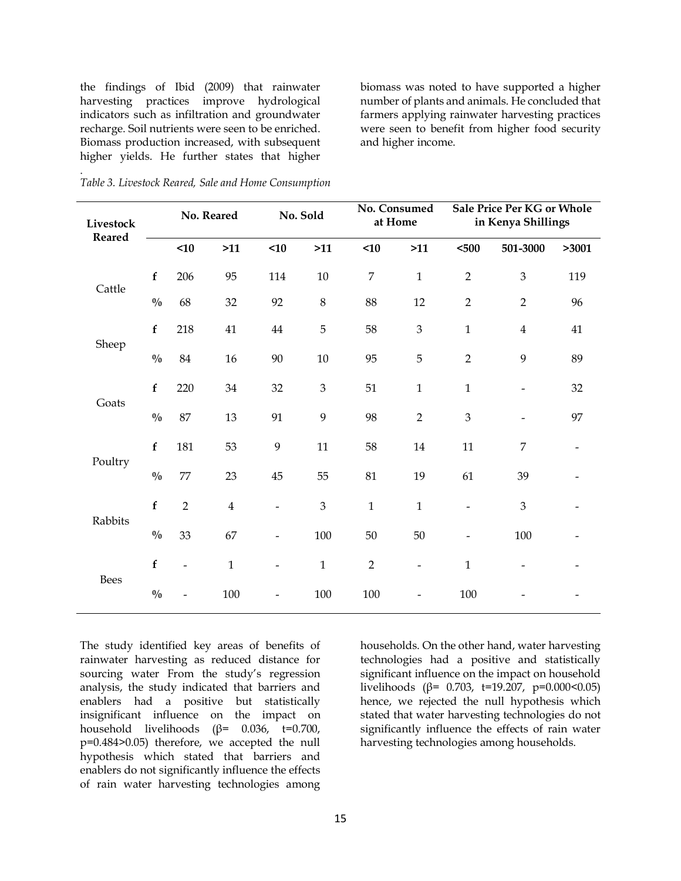the findings of Ibid (2009) that rainwater harvesting practices improve hydrological indicators such as infiltration and groundwater recharge. Soil nutrients were seen to be enriched. Biomass production increased, with subsequent higher yields. He further states that higher

biomass was noted to have supported a higher number of plants and animals. He concluded that farmers applying rainwater harvesting practices were seen to benefit from higher food security and higher income.

| Livestock<br><b>Reared</b> |               | No. Reared               |              | No. Sold                 |                             | No. Consumed<br>at Home |                              | Sale Price Per KG or Whole<br>in Kenya Shillings |                          |       |
|----------------------------|---------------|--------------------------|--------------|--------------------------|-----------------------------|-------------------------|------------------------------|--------------------------------------------------|--------------------------|-------|
|                            |               | <10                      | $>11$        | $<$ 10                   | $>11$                       | <10                     | >11                          | $500$                                            | 501-3000                 | >3001 |
| Cattle                     | $\mathbf f$   | 206                      | 95           | 114                      | $10\,$                      | $\overline{7}$          | $\mathbf{1}$                 | $\overline{2}$                                   | 3                        | 119   |
|                            | $\frac{0}{0}$ | 68                       | 32           | 92                       | $\,8\,$                     | 88                      | 12                           | $\sqrt{2}$                                       | $\overline{2}$           | 96    |
| Sheep                      | $\mathbf f$   | 218                      | 41           | 44                       | 5                           | 58                      | $\mathfrak{Z}$               | $\mathbf 1$                                      | $\overline{4}$           | 41    |
|                            | $\frac{0}{0}$ | $84\,$                   | $16\,$       | $90\,$                   | $10\,$                      | 95                      | 5                            | $\overline{2}$                                   | 9                        | 89    |
| Goats                      | $\mathbf f$   | 220                      | 34           | 32                       | $\ensuremath{\mathfrak{Z}}$ | 51                      | $\mathbf 1$                  | $\mathbf 1$                                      | -                        | 32    |
|                            | $\frac{0}{0}$ | 87                       | 13           | 91                       | 9                           | 98                      | $\overline{2}$               | 3                                                | $\overline{\phantom{0}}$ | 97    |
| Poultry                    | $\mathbf f$   | 181                      | 53           | 9                        | 11                          | 58                      | $14\,$                       | 11                                               | 7                        |       |
|                            | $\frac{0}{0}$ | $77\,$                   | 23           | 45                       | 55                          | 81                      | 19                           | 61                                               | 39                       |       |
| Rabbits                    | $\mathbf f$   | $\overline{2}$           | $\bf 4$      | $\overline{\phantom{0}}$ | 3                           | $\mathbf{1}$            | $\mathbf 1$                  | $\overline{\phantom{a}}$                         | 3                        |       |
|                            | $\frac{0}{0}$ | 33                       | 67           | $\overline{a}$           | 100                         | 50                      | $50\,$                       |                                                  | 100                      |       |
| Bees                       | $\mathbf f$   | $\overline{\phantom{0}}$ | $\mathbf{1}$ | $\overline{a}$           | $\mathbf{1}$                | $\overline{2}$          | $\qquad \qquad \blacksquare$ | $\mathbf 1$                                      | $\overline{a}$           |       |
|                            | $\frac{0}{0}$ |                          | $100\,$      |                          | 100                         | 100                     |                              | 100                                              |                          |       |

.

The study identified key areas of benefits of rainwater harvesting as reduced distance for sourcing water From the study's regression analysis, the study indicated that barriers and enablers had a positive but statistically insignificant influence on the impact on household livelihoods (β= 0.036, t=0.700, p=0.484>0.05) therefore, we accepted the null hypothesis which stated that barriers and enablers do not significantly influence the effects of rain water harvesting technologies among

households. On the other hand, water harvesting technologies had a positive and statistically significant influence on the impact on household livelihoods ( $\beta$ = 0.703, t=19.207, p=0.000<0.05) hence, we rejected the null hypothesis which stated that water harvesting technologies do not significantly influence the effects of rain water harvesting technologies among households.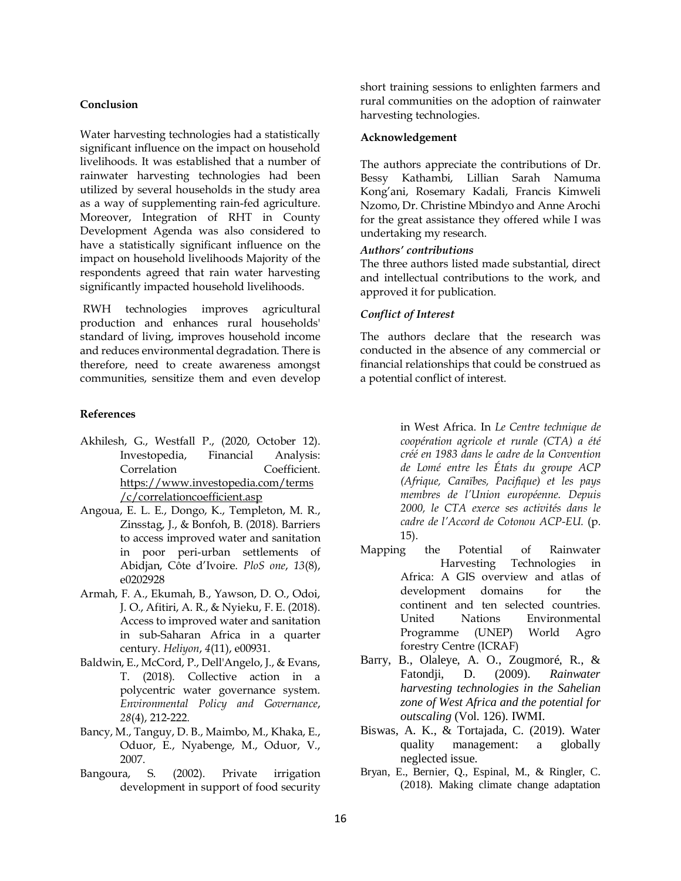### **Conclusion**

Water harvesting technologies had a statistically significant influence on the impact on household livelihoods. It was established that a number of rainwater harvesting technologies had been utilized by several households in the study area as a way of supplementing rain-fed agriculture. Moreover, Integration of RHT in County Development Agenda was also considered to have a statistically significant influence on the impact on household livelihoods Majority of the respondents agreed that rain water harvesting significantly impacted household livelihoods.

RWH technologies improves agricultural production and enhances rural households' standard of living, improves household income and reduces environmental degradation. There is therefore, need to create awareness amongst communities, sensitize them and even develop

#### **References**

- Akhilesh, G., Westfall P., (2020, October 12). Investopedia, Financial Analysis: Correlation Coefficient. [https://www.investopedia.com/terms](https://www.investopedia.com/terms/c/correlationcoefficient.asp) [/c/correlationcoefficient.asp](https://www.investopedia.com/terms/c/correlationcoefficient.asp)
- Angoua, E. L. E., Dongo, K., Templeton, M. R., Zinsstag, J., & Bonfoh, B. (2018). Barriers to access improved water and sanitation in poor peri-urban settlements of Abidjan, Côte d'Ivoire. *PloS one*, *13*(8), e0202928
- Armah, F. A., Ekumah, B., Yawson, D. O., Odoi, J. O., Afitiri, A. R., & Nyieku, F. E. (2018). Access to improved water and sanitation in sub-Saharan Africa in a quarter century. *Heliyon*, *4*(11), e00931.
- Baldwin, E., McCord, P., Dell'Angelo, J., & Evans, T. (2018). Collective action in a polycentric water governance system. *Environmental Policy and Governance*, *28*(4), 212-222.
- Bancy, M., Tanguy, D. B., Maimbo, M., Khaka, E., Oduor, E., Nyabenge, M., Oduor, V., 2007.
- Bangoura, S. (2002). Private irrigation development in support of food security

short training sessions to enlighten farmers and rural communities on the adoption of rainwater harvesting technologies.

#### **Acknowledgement**

The authors appreciate the contributions of Dr. Bessy Kathambi, Lillian Sarah Namuma Kong'ani, Rosemary Kadali, Francis Kimweli Nzomo, Dr. Christine Mbindyo and Anne Arochi for the great assistance they offered while I was undertaking my research.

### *Authors' contributions*

The three authors listed made substantial, direct and intellectual contributions to the work, and approved it for publication.

# *Conflict of Interest*

The authors declare that the research was conducted in the absence of any commercial or financial relationships that could be construed as a potential conflict of interest.

> in West Africa. In *Le Centre technique de coopération agricole et rurale (CTA) a été créé en 1983 dans le cadre de la Convention de Lomé entre les États du groupe ACP (Afrique, Caraïbes, Pacifique) et les pays membres de l'Union européenne. Depuis 2000, le CTA exerce ses activités dans le cadre de l'Accord de Cotonou ACP-EU.* (p. 15).

- Mapping the Potential of Rainwater Harvesting Technologies in Africa: A GIS overview and atlas of development domains for the continent and ten selected countries. United Nations Environmental Programme (UNEP) World Agro forestry Centre (ICRAF)
- Barry, B., Olaleye, A. O., Zougmoré, R., & Fatondji, D. (2009). *Rainwater harvesting technologies in the Sahelian zone of West Africa and the potential for outscaling* (Vol. 126). IWMI.
- Biswas, A. K., & Tortajada, C. (2019). Water quality management: a globally neglected issue.
- Bryan, E., Bernier, Q., Espinal, M., & Ringler, C. (2018). Making climate change adaptation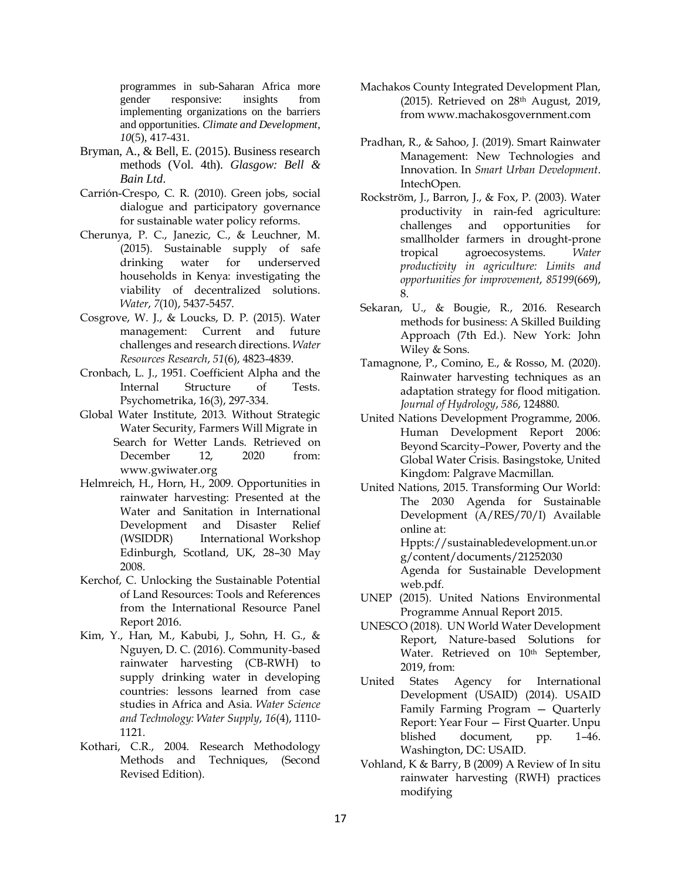programmes in sub-Saharan Africa more gender responsive: insights from implementing organizations on the barriers and opportunities. *Climate and Development*, *10*(5), 417-431.

- Bryman, A., & Bell, E. (2015). Business research methods (Vol. 4th). *Glasgow: Bell & Bain Ltd*.
- Carrión-Crespo, C. R. (2010). Green jobs, social dialogue and participatory governance for sustainable water policy reforms.
- Cherunya, P. C., Janezic, C., & Leuchner, M. (2015). Sustainable supply of safe drinking water for underserved households in Kenya: investigating the viability of decentralized solutions. *Water*, *7*(10), 5437-5457.
- Cosgrove, W. J., & Loucks, D. P. (2015). Water management: Current and future challenges and research directions. *Water Resources Research*, *51*(6), 4823-4839.
- Cronbach, L. J., 1951. Coefficient Alpha and the Internal Structure of Tests. Psychometrika, 16(3), 297-334.
- Global Water Institute, 2013. Without Strategic Water Security, Farmers Will Migrate in Search for Wetter Lands. Retrieved on December 12, 2020 from: www.gwiwater.org
- [Helmreich,](https://www.sciencedirect.com/science/article/abs/pii/S001191640900575X#%21) H., [Horn,](https://www.sciencedirect.com/science/article/abs/pii/S001191640900575X#%21) H., 2009. Opportunities in rainwater harvesting: Presented at the Water and Sanitation in International Development and Disaster Relief (WSIDDR) International Workshop Edinburgh, Scotland, UK, 28–30 May 2008.
- Kerchof, C. Unlocking the Sustainable Potential of Land Resources: Tools and References from the International Resource Panel Report 2016.
- Kim, Y., Han, M., Kabubi, J., Sohn, H. G., & Nguyen, D. C. (2016). Community-based rainwater harvesting (CB-RWH) to supply drinking water in developing countries: lessons learned from case studies in Africa and Asia. *Water Science and Technology: Water Supply*, *16*(4), 1110- 1121.
- Kothari, C.R., 2004. Research Methodology Methods and Techniques, (Second Revised Edition).
- Machakos County Integrated Development Plan, (2015). Retrieved on 28th August, 2019, from www.machakosgovernment.com
- Pradhan, R., & Sahoo, J. (2019). Smart Rainwater Management: New Technologies and Innovation. In *Smart Urban Development*. IntechOpen.
- Rockström, J., Barron, J., & Fox, P. (2003). Water productivity in rain-fed agriculture: challenges and opportunities for smallholder farmers in drought-prone tropical agroecosystems. *Water productivity in agriculture: Limits and opportunities for improvement*, *85199*(669), 8.
- Sekaran, U., & Bougie, R., 2016. Research methods for business: A Skilled Building Approach (7th Ed.). New York: John Wiley & Sons.
- Tamagnone, P., Comino, E., & Rosso, M. (2020). Rainwater harvesting techniques as an adaptation strategy for flood mitigation. *Journal of Hydrology*, *586*, 124880.
- United Nations Development Programme, 2006. Human Development Report 2006: Beyond Scarcity–Power, Poverty and the Global Water Crisis. Basingstoke, United Kingdom: Palgrave Macmillan.
- United Nations, 2015. Transforming Our World: The 2030 Agenda for Sustainable Development (A/RES/70/I) Available online at: Hppts://sustainabledevelopment.un.or

g/content/documents/21252030 Agenda for Sustainable Development web.pdf.

- UNEP (2015). United Nations Environmental Programme Annual Report 2015.
- UNESCO (2018). UN World Water Development Report, Nature-based Solutions for Water. Retrieved on 10<sup>th</sup> September, 2019, from:
- United States Agency for International Development (USAID) (2014). USAID Family Farming Program — Quarterly Report: Year Four — First Quarter. Unpu blished document, pp. 1–46. Washington, DC: USAID.
- Vohland, K & Barry, B (2009) A Review of In situ rainwater harvesting (RWH) practices modifying